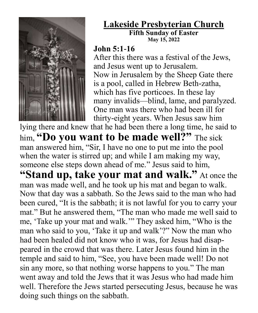

# **Lakeside Presbyterian Church Fifth Sunday of Easter May 15, 2022**

# **John 5:1-16**

After this there was a festival of the Jews, and Jesus went up to Jerusalem. Now in Jerusalem by the Sheep Gate there is a pool, called in Hebrew Beth-zatha, which has five porticoes. In these lay many invalids—blind, lame, and paralyzed. One man was there who had been ill for thirty-eight years. When Jesus saw him

lying there and knew that he had been there a long time, he said to him, **"Do you want to be made well?"** The sick man answered him, "Sir, I have no one to put me into the pool when the water is stirred up; and while I am making my way, someone else steps down ahead of me." Jesus said to him,

**"Stand up, take your mat and walk."** At once the man was made well, and he took up his mat and began to walk. Now that day was a sabbath. So the Jews said to the man who had been cured, "It is the sabbath; it is not lawful for you to carry your mat." But he answered them, "The man who made me well said to me, 'Take up your mat and walk.'" They asked him, "Who is the man who said to you, 'Take it up and walk'?" Now the man who had been healed did not know who it was, for Jesus had disappeared in the crowd that was there. Later Jesus found him in the temple and said to him, "See, you have been made well! Do not sin any more, so that nothing worse happens to you." The man went away and told the Jews that it was Jesus who had made him well. Therefore the Jews started persecuting Jesus, because he was doing such things on the sabbath.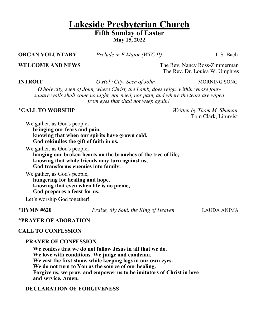## **Lakeside Presbyterian Church Fifth Sunday of Easter May 15, 2022**

**ORGAN VOLUNTARY** *Prelude in F Major (WTC II)* J. S. Bach

**WELCOME AND NEWS** The Rev. Nancy Ross-Zimmerman The Rev. Dr. Louisa W. Umphres

**INTROIT** *O Holy City, Seen of John* **MORNING SONG** 

*O holy city, seen of John, where Christ, the Lamb, does reign, within whose foursquare walls shall come no night, nor need, nor pain, and where the tears are wiped from eyes that shall not weep again!*

**\*CALL TO WORSHIP** *Written by Thom M. Shuman* Tom Clark, Liturgist

We gather, as God's people, **bringing our fears and pain, knowing that when our spirits have grown cold, God rekindles the gift of faith in us.** 

We gather, as God's people,

**hanging our broken hearts on the branches of the tree of life, knowing that while friends may turn against us, God transforms enemies into family.** 

We gather, as God's people,

**hungering for healing and hope, knowing that even when life is no picnic, God prepares a feast for us.** 

Let's worship God together!

**\*HYMN #620** *Praise, My Soul, the King of Heaven* LAUDA ANIMA

#### **\*PRAYER OF ADORATION**

#### **CALL TO CONFESSION**

#### **PRAYER OF CONFESSION**

**We confess that we do not follow Jesus in all that we do. We love with conditions. We judge and condemn. We cast the first stone, while keeping logs in our own eyes. We do not turn to You as the source of our healing. Forgive us, we pray, and empower us to be imitators of Christ in love and service. Amen.**

### **DECLARATION OF FORGIVENESS**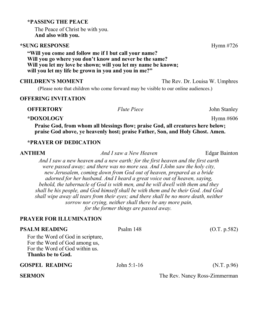### **\*PASSING THE PEACE**

The Peace of Christ be with you. **And also with you.**

#### **\*SUNG RESPONSE** Hymn #726

### **"Will you come and follow me if I but call your name? Will you go where you don't know and never be the same? Will you let my love be shown; will you let my name be known; will you let my life be grown in you and you in me?"**

#### **CHILDREN'S MOMENT** The Rev. Dr. Louisa W. Umphres

(Please note that children who come forward may be visible to our online audiences.)

#### **OFFERING INVITATION**

### **OFFERTORY** *Flute Piece* John Stanley

### **\*DOXOLOGY** Hymn #606

**Praise God, from whom all blessings flow; praise God, all creatures here below; praise God above, ye heavenly host; praise Father, Son, and Holy Ghost. Amen.**

### **\*PRAYER OF DEDICATION**

**ANTHEM** *And I saw a New Heaven* Edgar Bainton

*And I saw a new heaven and a new earth: for the first heaven and the first earth were passed away; and there was no more sea. And I John saw the holy city, new Jerusalem, coming down from God out of heaven, prepared as a bride adorned for her husband. And I heard a great voice out of heaven, saying, behold, the tabernacle of God is with men, and he will dwell with them and they shall be his people, and God himself shall be with them and be their God. And God shall wipe away all tears from their eyes; and there shall be no more death, neither sorrow nor crying, neither shall there be any more pain, for the former things are passed away.*

#### **PRAYER FOR ILLUMINATION**

| <b>PSALM READING</b>                                                                                                      | Psalm 148     | (O.T. p.582)                  |
|---------------------------------------------------------------------------------------------------------------------------|---------------|-------------------------------|
| For the Word of God in scripture,<br>For the Word of God among us,<br>For the Word of God within us.<br>Thanks be to God. |               |                               |
| <b>GOSPEL READING</b>                                                                                                     | John $5:1-16$ | (N.T. p.96)                   |
| <b>SERMON</b>                                                                                                             |               | The Rev. Nancy Ross-Zimmerman |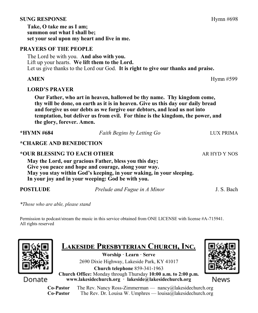### **SUNG RESPONSE** Hymn #698

**Take, O take me as I am; summon out what I shall be; set your seal upon my heart and live in me.**

### **PRAYERS OF THE PEOPLE**

The Lord be with you. **And also with you.** Lift up your hearts. **We lift them to the Lord.** Let us give thanks to the Lord our God. **It is right to give our thanks and praise.**

### **LORD'S PRAYER**

**Our Father, who art in heaven, hallowed be thy name. Thy kingdom come, thy will be done, on earth as it is in heaven. Give us this day our daily bread and forgive us our debts as we forgive our debtors, and lead us not into temptation, but deliver us from evil. For thine is the kingdom, the power, and the glory, forever. Amen.**

| *HYMN #684                  | Faith Begins by Letting Go                                                                                                                                                                                                                  | LUX PRIMA    |
|-----------------------------|---------------------------------------------------------------------------------------------------------------------------------------------------------------------------------------------------------------------------------------------|--------------|
| *CHARGE AND BENEDICTION     |                                                                                                                                                                                                                                             |              |
| *OUR BLESSING TO EACH OTHER |                                                                                                                                                                                                                                             | AR HYD Y NOS |
|                             | May the Lord, our gracious Father, bless you this day;<br>Give you peace and hope and courage, along your way.<br>May you stay within God's keeping, in your waking, in your sleeping.<br>In your joy and in your weeping: God be with you. |              |
| <b>POSTLUDE</b>             | Prelude and Fugue in A Minor                                                                                                                                                                                                                | J. S. Bach   |

*\*Those who are able, please stand*

Permission to podcast/stream the music in this service obtained from ONE LICENSE with license #A-715941. All rights reserved



Donate

|  | <b>LAKESIDE PRESBYTERIAN CHURCH, INC.</b> |
|--|-------------------------------------------|
|  |                                           |

**Worship · Learn · Serve** 2690 Dixie Highway, Lakeside Park, KY 41017 **Church telephone** 859-341-1963 **Church Office:** Monday through Thursday **10:00 a.m. to 2:00 p.m. www.lakesidechurch.org · lakeside@lakesidechurch.org**



News

**Co-Pastor** The Rev. Nancy Ross-Zimmerman — nancy@lakesidechurch.org **Co-Pastor** The Rev. Dr. Louisa W. Umphres — louisa@lakesidechurch.org

**AMEN** Hymn #599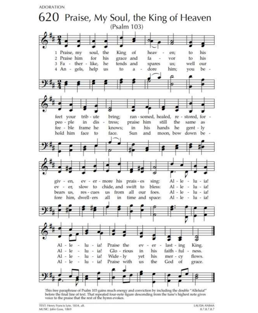

This free paraphrase of Psalm 103 gains much energy and conviction by including the double "Alleluia!" before the final line of text. That repeated four-note figure descending from the tune's highest note gives voice to the praise that the rest of the hymn evokes.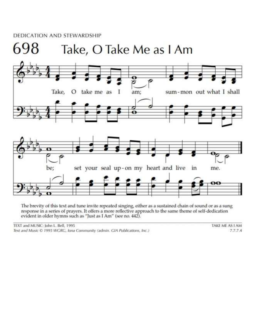

The brevity of this text and tune invite repeated singing, either as a sustained chain of sound or as a sung response in a series of prayers. It offers a more reflective approach to the same theme of self-dedication evident in older hymns such as "Just as I Am" (see no. 442).

TEXT and MUSIC: John L. Bell, 1995 Text and Music © 1995 WGRG, Iona Community (admin. GIA Publications, Inc.) TAKE ME AS I AM  $7.7.7.4$